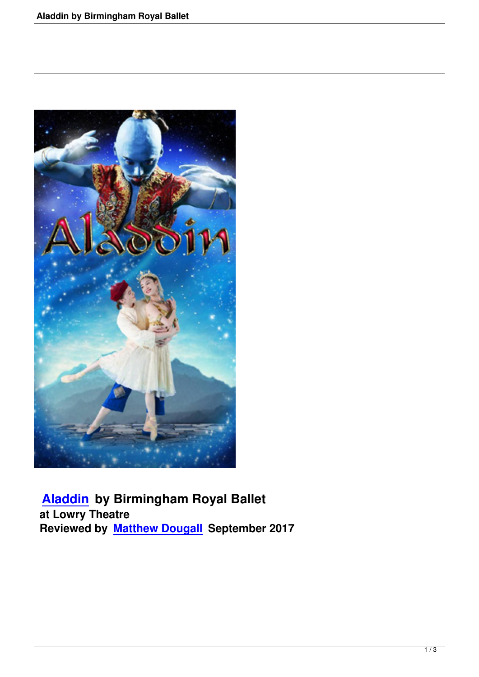

 **Aladdin by Birmingham Royal Ballet at Lowry Theatre [Reviewed](aladdin-by-birmingham-royal-ballet.html) by Matthew Dougall September 2017**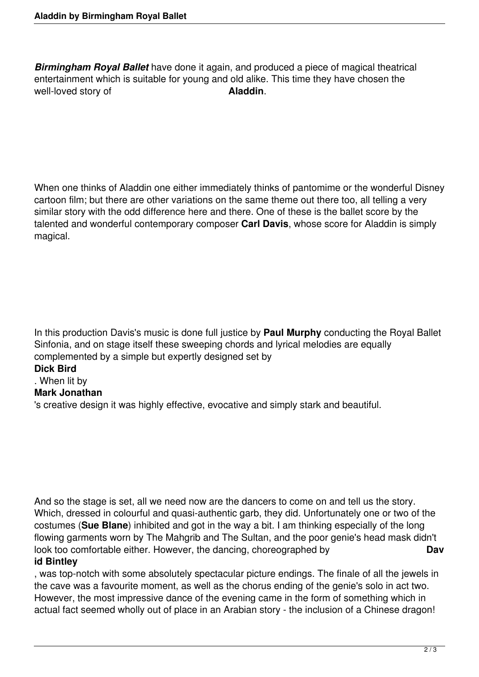*Birmingham Royal Ballet* have done it again, and produced a piece of magical theatrical entertainment which is suitable for young and old alike. This time they have chosen the well-loved story of **Aladdin**.

When one thinks of Aladdin one either immediately thinks of pantomime or the wonderful Disney cartoon film; but there are other variations on the same theme out there too, all telling a very similar story with the odd difference here and there. One of these is the ballet score by the talented and wonderful contemporary composer **Carl Davis**, whose score for Aladdin is simply magical.

In this production Davis's music is done full justice by **Paul Murphy** conducting the Royal Ballet Sinfonia, and on stage itself these sweeping chords and lyrical melodies are equally complemented by a simple but expertly designed set by

## **Dick Bird**

## . When lit by

## **Mark Jonathan**

's creative design it was highly effective, evocative and simply stark and beautiful.

And so the stage is set, all we need now are the dancers to come on and tell us the story. Which, dressed in colourful and quasi-authentic garb, they did. Unfortunately one or two of the costumes (**Sue Blane**) inhibited and got in the way a bit. I am thinking especially of the long flowing garments worn by The Mahgrib and The Sultan, and the poor genie's head mask didn't look too comfortable either. However, the dancing, choreographed by **Dav id Bintley**

## , was top-notch with some absolutely spectacular picture endings. The finale of all the jewels in the cave was a favourite moment, as well as the chorus ending of the genie's solo in act two. However, the most impressive dance of the evening came in the form of something which in actual fact seemed wholly out of place in an Arabian story - the inclusion of a Chinese dragon!